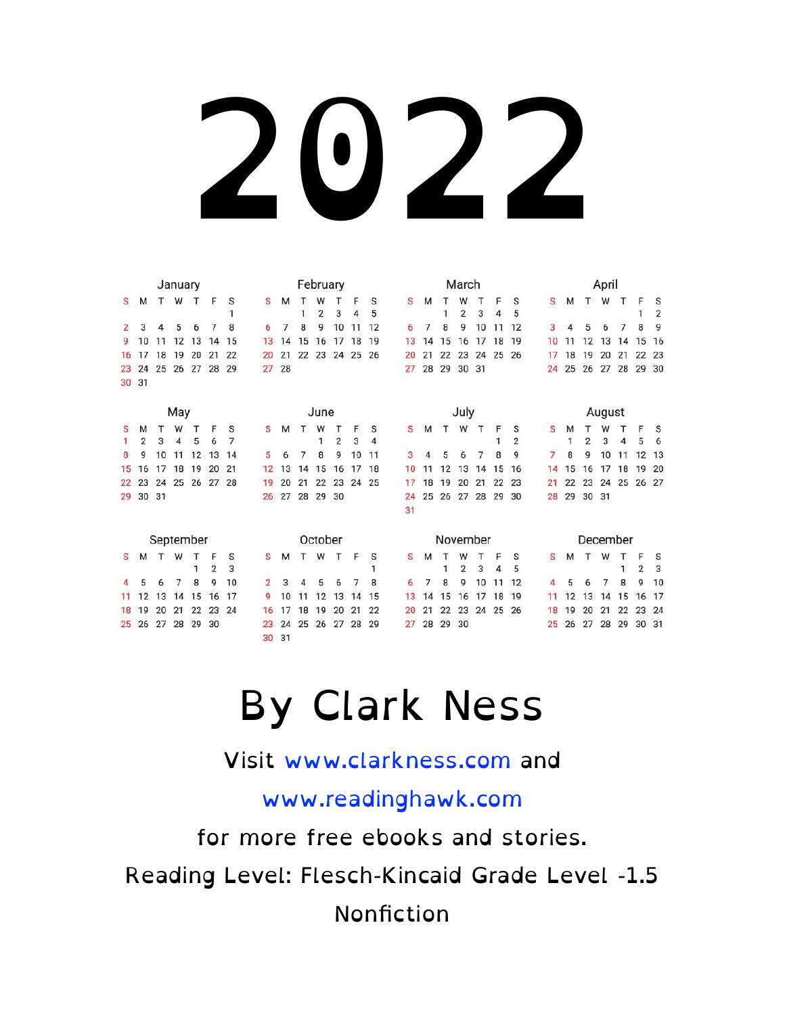|    |       |           | January |    |                |    |    |    |    | February |                |    |    |    |    |          | March          |    |    |    |    |    |              | April  |    |                |                |
|----|-------|-----------|---------|----|----------------|----|----|----|----|----------|----------------|----|----|----|----|----------|----------------|----|----|----|----|----|--------------|--------|----|----------------|----------------|
| S  | М     | T         | W       | т  | F              | S  | S  | м  | т  | W        | т              | F  | S  | S  | M  | т        | W              | т  | F  | S  | s  | м  | $\mathsf{T}$ | W      | T  | F              | S              |
|    |       |           |         |    |                | 1  |    |    | 1  | 2        | 3              | 4  | 5  |    |    | 1        | $\overline{2}$ | 3  | 4  | 5  |    |    |              |        |    | 1              | $\overline{2}$ |
| 2  | 3     | 4         | 5       | 6  | 7              | 8  | 6  | 7  | 8  | 9        | 10             | 11 | 12 | 6  | 7  | 8        | 9              | 10 |    | 12 | 3  |    | 5            | 6      | 7  | 8              | 9              |
| 9  | 10    | 11        | 12      | 13 | 14             | 15 | 13 | 14 | 15 | 16       | 17             | 18 | 19 | 13 | 14 | 15       | 16             | 17 | 18 | 19 | 10 | 11 | 12           | 13     | 14 | 15             | 16             |
| 16 | 17    | 18        | 19      | 20 | 21             | 22 | 20 | 21 | 22 | 23       | 24 25          |    | 26 | 20 | 21 | 22       | 23             | 24 | 25 | 26 | 17 | 18 | 19           | 20     | 21 | 22             | 23             |
| 23 | 24    | 25        | 26      | 27 | 28             | 29 | 27 | 28 |    |          |                |    |    | 27 | 28 | 29       | 30             | 31 |    |    | 24 | 25 | 26           | 27     | 28 | 29             | 30             |
| 30 | 31    |           |         |    |                |    |    |    |    |          |                |    |    |    |    |          |                |    |    |    |    |    |              |        |    |                |                |
|    |       |           |         |    |                |    |    |    |    |          |                |    |    |    |    |          |                |    |    |    |    |    |              |        |    |                |                |
|    |       |           | May     |    |                |    |    |    |    | June     |                |    |    |    |    |          | July           |    |    |    |    |    |              | August |    |                |                |
| s  | м     |           | W       |    | F              | s  | S  | м  |    | W        |                | F  | S  | S  | М  |          | W              | т  | F  | S  | s  | M  |              | W      | т  | F              | s              |
| 1  | 2     | 3         | 4       | 5  | 6              | 7  |    |    |    | 1        | $\overline{2}$ | 3  | 4  |    |    |          |                |    | 1  | 2  |    | 1  | 2            | 3      | 4  | 5              | 6              |
| 8  | 9     | 10        | 11      | 12 | 13             | 14 | 5  | 6  |    | 8        | 9              | 10 | 11 | 3  |    | 5        | 6              |    | 8  | 9  | 7  | 8  | 9            | 10     | 11 | 12             | 13             |
| 15 | 16    | 17        | 18      | 19 | 20             | 21 | 12 | 13 | 14 | 15       | 16             | 17 | 18 | 10 |    | 12       | 13             | 14 | 15 | 16 | 14 | 15 | 16           | 17     | 18 | 19             | 20             |
| 22 | 23    | 24        | 25      | 26 | 27             | 28 | 19 | 20 | 21 | 22       | 23             | 24 | 25 | 17 | 18 | 19       | 20             | 21 | 22 | 23 | 21 | 22 | 23           | 24     | 25 | 26             | 27             |
| 29 | 30 31 |           |         |    |                |    | 26 | 27 | 28 | 29       | 30             |    |    | 24 | 25 | 26       | 27             | 28 | 29 | 30 | 28 | 29 | 30 31        |        |    |                |                |
|    |       |           |         |    |                |    |    |    |    |          |                |    |    | 31 |    |          |                |    |    |    |    |    |              |        |    |                |                |
|    |       |           |         |    |                |    |    |    |    |          |                |    |    |    |    |          |                |    |    |    |    |    |              |        |    |                |                |
|    |       | September |         |    |                |    |    |    |    | October  |                |    |    |    |    | November |                |    |    |    |    |    | December     |        |    |                |                |
| s  | м     | Т         | W       | т  | F              | S  | s  | м  | т  | W        | $\mathsf{T}$   | F  | S  | S  | М  | т        | W              |    | F  | S  | s  | м  | $\top$       | W      | т  | F              | s              |
|    |       |           |         | 1  | $\overline{2}$ | 3  |    |    |    |          |                |    | 1  |    |    | 1        | $\overline{2}$ | 3  | 4  | 5  |    |    |              |        | 1  | $\overline{2}$ | 3              |
|    |       |           | 7       | 8  | 9              | 10 | 2  | 3  | 4  | 5        | 6              | 7  | 8  | 6  | 7  | 8        | 9              | 10 | 11 | 12 |    | 5  |              | 7      | 8  | 9              | 10             |
| 11 | 12    | 13        | 14      | 15 | 16             | 17 | 9  | 10 | 11 | 12       | 13             | 14 | 15 | 13 | 14 | 15       | 16             | 17 | 18 | 19 | 11 | 12 | 13           | 14     | 15 | 16             | 17             |
| 18 | 19    | 20        | 21      | 22 | 23             | 24 | 16 | 17 | 18 | 19       | 20             | 21 | 22 | 20 | 21 | 22       | 23             | 24 | 25 | 26 | 18 | 19 | 20           | 21     | 22 | 23             | 24             |
| 25 | 26    | 27        | 28      | 29 | 30             |    | 23 | 24 | 25 | 26       | 27             | 28 | 29 | 27 | 28 | 29       | 30             |    |    |    | 25 | 26 | 27           | 28     | 29 | 30             | 31             |
|    |       |           |         |    |                |    | 30 | 31 |    |          |                |    |    |    |    |          |                |    |    |    |    |    |              |        |    |                |                |
|    |       |           |         |    |                |    |    |    |    |          |                |    |    |    |    |          |                |    |    |    |    |    |              |        |    |                |                |

#### By Clark Ness

#### Visit [www.clarkness.com](http://www.clarkness.com) and

[www.readinghawk.com](http://www.readinghawk.com)

for more free ebooks and stories.

Reading Level: Flesch-Kincaid Grade Level -1.5

Nonfiction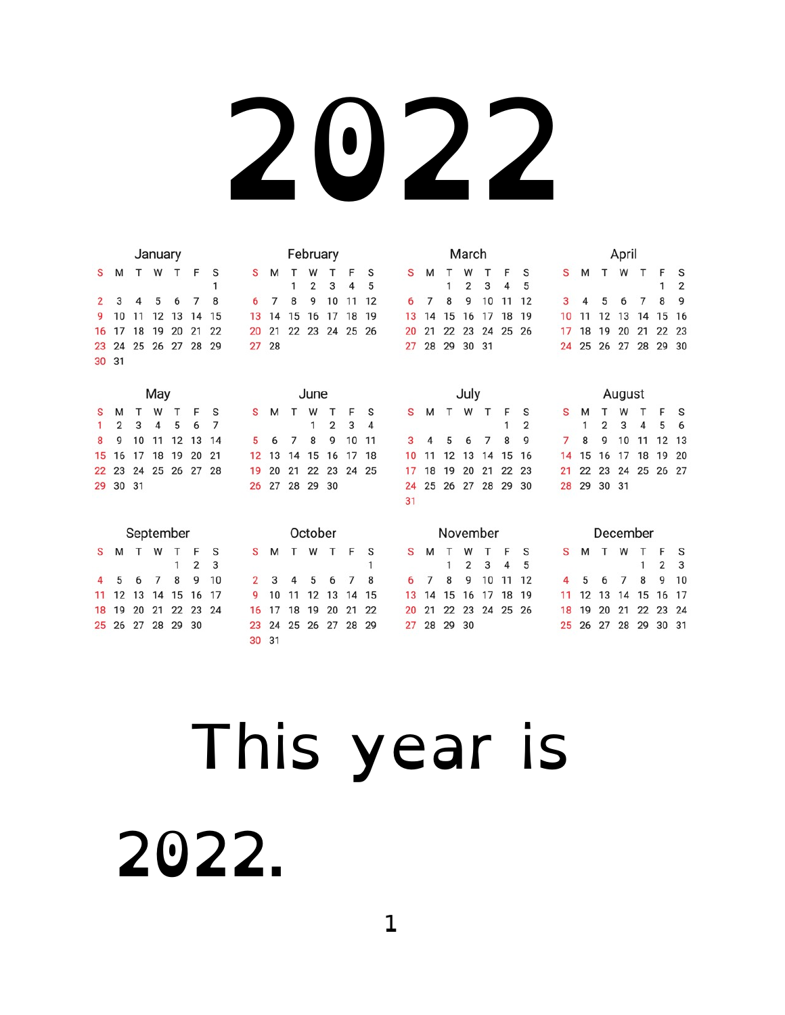|    |                |           | January |       |                |    |    |    |    | February |                |    |    |    |    |    |          | March |    |    |    |    |   |    |          | April  |    |                |    |
|----|----------------|-----------|---------|-------|----------------|----|----|----|----|----------|----------------|----|----|----|----|----|----------|-------|----|----|----|----|---|----|----------|--------|----|----------------|----|
| S  | M              |           | W       |       | F              | S  | S  | М  | т  | W        |                | F  | S  |    | S  | M  |          | W     |    | F  | S  | S  | M |    | т        | W      | Т  | F              | S  |
|    |                |           |         |       |                | 1  |    |    | 1  | 2        | 3              | 4  | 5  |    |    |    | 1        | 2     | 3  | 4  | 5  |    |   |    |          |        |    | 1              | 2  |
|    | 3              | 4         | 5       | 6     | 7              | 8  | 6  |    | 8  | 9        | 10             | 11 | 12 |    | 6  | 7  | 8        | 9     | 10 |    | 12 | 3  |   | 4  | 5        | 6      | 7  | 8              | 9  |
| 9  | 10             | 11        | 12      | 13    | 14             | 15 | 13 | 14 | 15 | 16       | 17             | 18 | 19 |    | 13 | 14 | 15       | 16    | 17 | 18 | 19 | 10 |   | 11 | 12       | 13     | 14 | 15             | 16 |
| 16 | 17             | 18        | 19      | 20    | 21             | 22 | 20 | 21 | 22 | 23       | 24 25          |    | 26 |    | 20 | 21 | 22       | 23    | 24 | 25 | 26 | 17 |   | 18 | 19       | 20     | 21 | 22             | 23 |
| 23 | 24             | 25        |         | 26 27 | 28             | 29 | 27 | 28 |    |          |                |    |    |    | 27 | 28 | 29       | 30    | 31 |    |    | 24 |   | 25 | 26       | 27     | 28 | 29             | 30 |
|    | 30 31          |           |         |       |                |    |    |    |    |          |                |    |    |    |    |    |          |       |    |    |    |    |   |    |          |        |    |                |    |
|    |                |           |         |       |                |    |    |    |    |          |                |    |    |    |    |    |          |       |    |    |    |    |   |    |          |        |    |                |    |
|    |                |           | May     |       |                |    |    |    |    | June     |                |    |    |    |    |    |          | July  |    |    |    |    |   |    |          | August |    |                |    |
| S  | M              |           | W       |       | F              | S  | S  | м  | т  | W        | Т              | F  | S  |    | S  | M  | т        | W     | т  | F  | S  | S  | м |    |          | W      | т  | F              | S  |
|    | $\overline{2}$ | 3         | 4       | 5     | 6              | 7  |    |    |    | 1        | $\overline{2}$ | 3  | 4  |    |    |    |          |       |    | 1  | 2  |    |   | 1  | 2        | 3      | 4  | 5              | 6  |
| 8  | 9              | 10        | 11      | 12    | 13             | 14 | 5  | 6  | 7  | 8        | 9              | 10 | 11 |    | 3  |    |          | 6     |    | 8  | 9  |    | 7 | 8  | 9        | 10     | 11 | 12             | 13 |
| 15 | 16             | 17        | 18      | 19    | 20             | 21 | 12 | 13 | 14 | 15       | 16             | 17 | 18 |    | 10 |    | 12       | 13    | 14 | 15 | 16 | 14 |   | 15 | 16       | 17     | 18 | 19             | 20 |
| 22 | 23             | 24        | 25      | 26    | 27             | 28 | 19 | 20 | 21 | 22       | 23             | 24 | 25 |    | 17 | 18 | 19       | 20    | 21 | 22 | 23 | 21 |   | 22 | 23       | 24     | 25 | 26             | 27 |
| 29 | 30             | 31        |         |       |                |    | 26 | 27 | 28 | 29       | 30             |    |    |    | 24 | 25 | 26       | 27    | 28 | 29 | 30 | 28 |   | 29 | 30 31    |        |    |                |    |
|    |                |           |         |       |                |    |    |    |    |          |                |    |    | 31 |    |    |          |       |    |    |    |    |   |    |          |        |    |                |    |
|    |                |           |         |       |                |    |    |    |    |          |                |    |    |    |    |    |          |       |    |    |    |    |   |    |          |        |    |                |    |
|    |                | September |         |       |                |    |    |    |    | October  |                |    |    |    |    |    | November |       |    |    |    |    |   |    | December |        |    |                |    |
| S  | м              | т         | W       | т     | F              | S  | S  | м  | т  | W        | т              | F  | S  |    | s  | М  |          | W     |    | F  | S  | s  |   | м  | т        | W      | т  | F              | S  |
|    |                |           |         | 1     | $\overline{2}$ | 3  |    |    |    |          |                |    | 1  |    |    |    | 1        | 2     | 3  | 4  | 5  |    |   |    |          |        | 1  | $\overline{2}$ | 3  |
|    | 5              | 6         | 7       | 8     | 9              | 10 | 2  | 3  | 4  | 5        | 6              | 7  | 8  | 6  |    | 7  | 8        | 9     | 10 | 11 | 12 |    | 4 | 5  | 6        | 7      | 8  | 9              | 10 |
| 11 | 12             | 13        | 14      | 15    | 16             | 17 | 9  | 10 | 11 | 12       | 13             | 14 | 15 |    | 13 | 14 | 15       | 16    | 17 | 18 | 19 | 11 |   | 12 | 13       | 14     | 15 | 16             | 17 |
| 18 | 19             | 20        | 21      | 22    | 23             | 24 | 16 | 17 | 18 | 19       | 20             | 21 | 22 |    | 20 | 21 | 22       | 23    | 24 | 25 | 26 | 18 |   | 19 | 20       | 21     | 22 | 23             | 24 |
| 25 | 26             | 27        | 28      | 29    | 30             |    | 23 | 24 | 25 | 26       | 27             | 28 | 29 | 27 |    | 28 | 29       | 30    |    |    |    | 25 |   | 26 | 27       | 28     | 29 | 30             | 31 |
|    |                |           |         |       |                |    | 30 | 31 |    |          |                |    |    |    |    |    |          |       |    |    |    |    |   |    |          |        |    |                |    |

#### This year is 2022.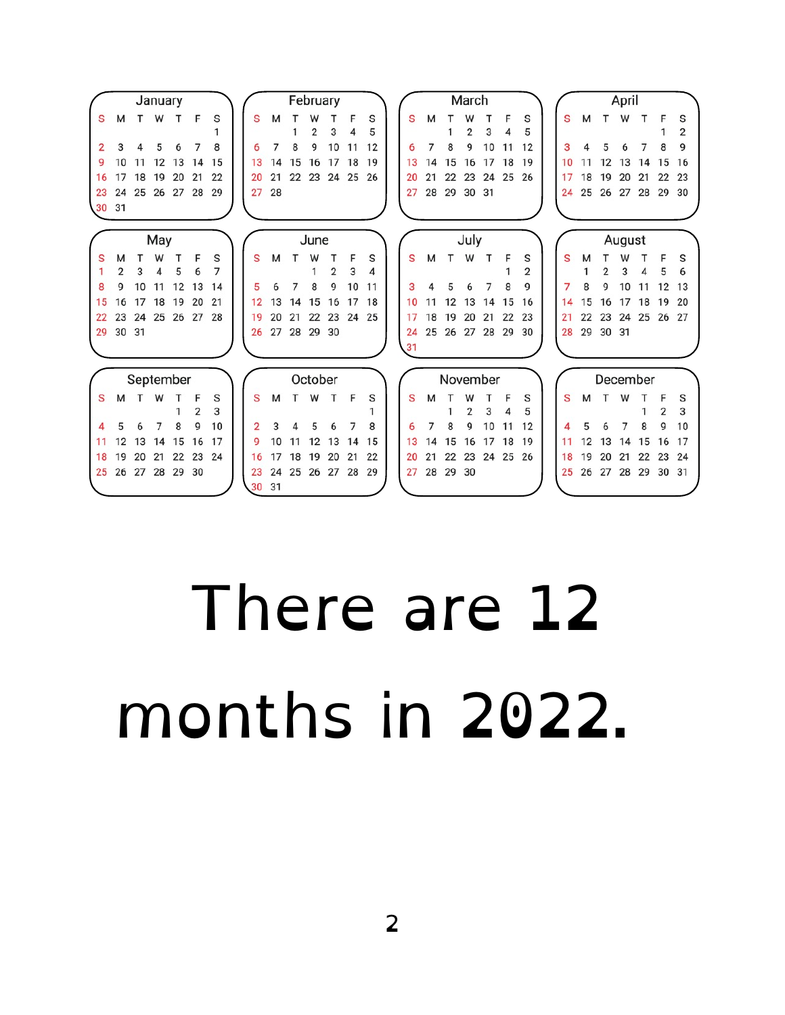|                |                |           | January |       |    |    |       |    |                | February       |                |       |    |    |    |                   | March          |       |          |                |    |    |          | April  |          |       |                |
|----------------|----------------|-----------|---------|-------|----|----|-------|----|----------------|----------------|----------------|-------|----|----|----|-------------------|----------------|-------|----------|----------------|----|----|----------|--------|----------|-------|----------------|
| $\mathbf{s}$   | м              | T W       |         | т     | F  | S  | S     | M  | т              |                |                | F     | S  | S  | м  |                   | W              |       | F        | S              | S  | м  | T        | W      | Т        | F     | S              |
|                |                |           |         |       |    |    |       |    |                | $\overline{2}$ | 3              |       | 5  |    |    |                   | $\overline{2}$ | 3     | 4        |                |    |    |          |        |          |       | $\overline{2}$ |
| $\overline{2}$ |                |           | 5       | 6     |    | 8  | 6     | 7  | 8              | g              | 10             | 11    | 12 | 6  | 7  | 8                 | 9              | 10    | 11       | 12             | 3  |    |          | 6      |          | 8     | 9              |
| q              | 10             | 11        | 12      | 13    | 14 | 15 | 13    | 14 | 15             |                | 16 17 18       |       | 19 | 13 | 14 | 15                | 16             | 17 18 |          | 19             | 10 |    | 12       | 13     | 14       | 15    | 16             |
| 16             | 17             | 18        | 19      | 20    | 21 | 22 | 20    | 21 |                |                | 22 23 24 25 26 |       |    | 20 | 21 | 22                | 23             |       | 24 25    | 26             | 17 | 18 | 19       | 20     | 21       | 22    | 23             |
| 23             | 24             | 25 26 27  |         |       | 28 | 29 | 27    | 28 |                |                |                |       |    | 27 | 28 | 29 30 31          |                |       |          |                | 24 |    | 25 26 27 |        | 28       |       | 29 30          |
| 30 31          |                |           |         |       |    |    |       |    |                |                |                |       |    |    |    |                   |                |       |          |                |    |    |          |        |          |       |                |
|                |                |           |         |       |    |    |       |    |                |                |                |       |    |    |    |                   |                |       |          |                |    |    |          |        |          |       |                |
|                |                |           | May     |       |    |    |       |    |                | June           |                |       |    |    |    |                   | July           |       |          |                |    |    |          | August |          |       |                |
| S              | M              |           | W       |       | F  | S  | S     | M  |                | W              | т              | F     | S  | S  | м  | T.                | W              | Т     | F        | S              | S  | M  |          | W      |          | F     | S              |
|                | $\overline{2}$ | 3         | 4       | 5     |    | 7  |       |    |                |                | $\overline{2}$ | 3     |    |    |    |                   |                |       |          | $\overline{2}$ |    |    | 2        | 3      | 4        | 5     | 6              |
| 8              | q              | 10        | 11      | 12    | 13 | 14 | 5     | 6  |                | 8              | 9              | 10    | 11 | 3  |    | 5                 | 6              | 7     | 8        | 9              | 7  | 8  | 9        | 10     | 11       | 12    | 13             |
| 15             | 16             | 17        | 18      | 19    | 20 | 21 | 12    | 13 | 14             | 15             | 16             | 17    | 18 | 10 | 11 | 12                | 13             | 14    | 15       | 16             | 14 | 15 | 16       | 17     | 18       | 19    | 20             |
| 22             | 23             | 24        |         | 25 26 | 27 | 28 | 19    | 20 | 21             | 22             | 23             | 24 25 |    | 17 | 18 | 19                | 20             | 21    | 22       | 23             | 21 | 22 | 23       | 24     | 25       | 26 27 |                |
|                | 29 30 31       |           |         |       |    |    | 26    |    | 27 28 29 30    |                |                |       |    | 24 |    | 25 26 27 28 29 30 |                |       |          |                | 28 |    | 29 30 31 |        |          |       |                |
|                |                |           |         |       |    |    |       |    |                |                |                |       |    | 31 |    |                   |                |       |          |                |    |    |          |        |          |       |                |
|                |                |           |         |       |    |    |       |    |                |                |                |       |    |    |    |                   |                |       |          |                |    |    |          |        |          |       |                |
|                |                | September |         |       |    |    |       |    |                | October        |                |       |    |    |    | November          |                |       |          |                |    |    |          |        | December |       |                |
| S              | м              |           | W       |       | F  | S  | S     | M  | т              | W              | т              | F     | S  | S  | М  |                   | W              |       | F        | S              | S  | M  | т        | W      |          |       | S              |
|                |                |           |         |       | 2  | 3  |       |    |                |                |                |       |    |    |    |                   | 2              | 3     | 4        | 5              |    |    |          |        |          | 2     | 3              |
|                |                |           |         | 8     | g  | 10 |       | 3  |                |                | 6              |       | 8  | 6  |    | 8                 | 9              | 10    | 11       | 12             |    |    | 6        |        | 8        | 9     | 10             |
| 11             | 12             | 13        | 14      | 15    | 16 | 17 | q     | 10 | 11             | 12             | 13             | 14    | 15 | 13 | 14 | 15                | 16             |       | 17 18    | 19             | 11 | 12 | 13       | 14     | 15       | 16    | 17             |
| 18             | 19             | 20        | 21      | 22    | 23 | 24 | 16    |    | 17 18          | 19             | 20             | 21    | 22 | 20 | 21 | 22                | 23             |       | 24 25 26 |                | 18 | 19 | 20       | 21     | 22       |       | 23 24          |
| 25             | 26             | 27        |         | 28 29 | 30 |    | 23    | 24 | 25 26 27 28 29 |                |                |       |    | 27 | 28 | 29 30             |                |       |          |                | 25 | 26 | 27       | 28     | 29       | 30 31 |                |
|                |                |           |         |       |    |    | 30 31 |    |                |                |                |       |    |    |    |                   |                |       |          |                |    |    |          |        |          |       |                |

#### There are 12 months in 2022.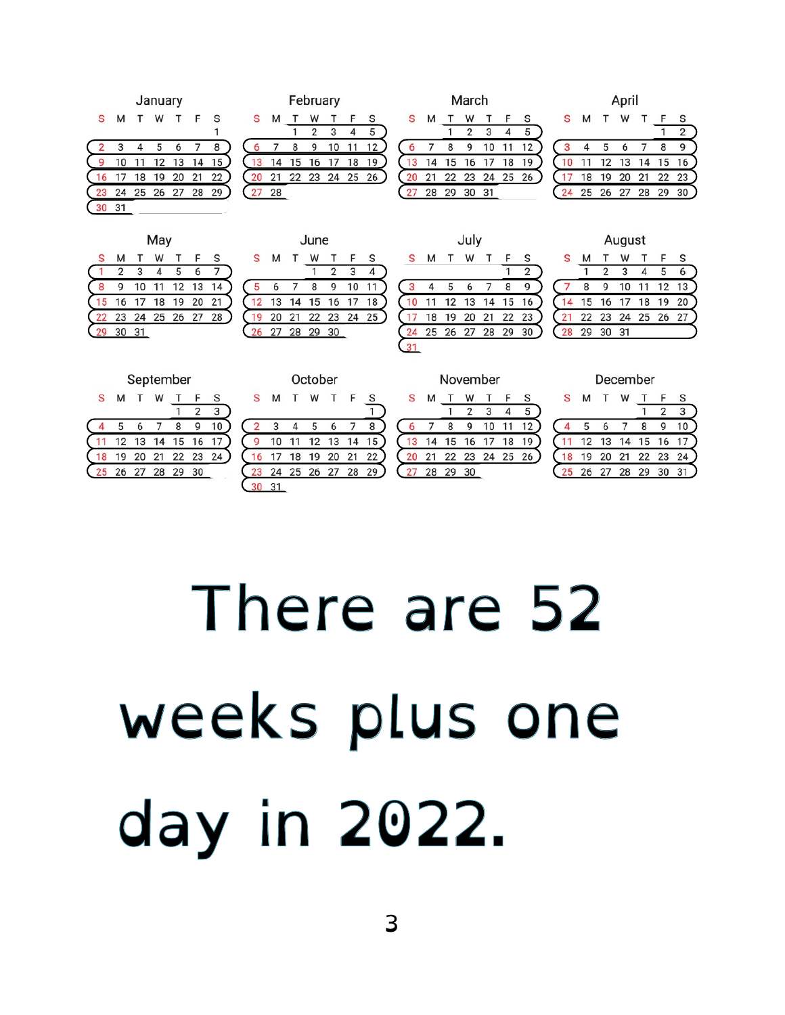|    |    |    | January |    |    |    |  |
|----|----|----|---------|----|----|----|--|
| S  | М  |    | W       |    | F  | S  |  |
|    |    |    |         |    |    | 1  |  |
|    | 3  | 4  | 5       | 6  |    | 8  |  |
|    | 10 | 11 | 12      | 13 | 14 | 15 |  |
| 16 |    | 18 | 19      | 20 | 21 | 22 |  |
| 23 | 24 | 25 | 26      | 27 | 28 | 29 |  |
|    | 31 |    |         |    |    |    |  |
|    |    |    |         |    |    |    |  |

|    |    |       | February |    |    |    |  |
|----|----|-------|----------|----|----|----|--|
| S  | M  |       | w        |    | F  | S  |  |
|    |    |       | 2        | 3  |    | 5  |  |
| 6  |    | 8     | q        | 10 |    | 12 |  |
|    | 14 | 15    | 16       | 17 | 18 | 19 |  |
| 20 | 21 | 22 23 |          | 24 | 25 | 26 |  |
|    | 28 |       |          |    |    |    |  |
|    |    |       |          |    |    |    |  |

|   |    |    | March |    |  |
|---|----|----|-------|----|--|
| S | м  |    | w     |    |  |
|   |    |    | 2     | 3  |  |
| 6 |    | 8  | g     | 10 |  |
|   | 14 | 15 | 16    |    |  |
|   | 21 | 22 | 23    | 24 |  |

30

 $\begin{array}{c} 5 \\ 12 \\ 19 \end{array}$ 

|    |    |    | April |    |    |    |
|----|----|----|-------|----|----|----|
| S  | М  | т  | W     |    | F  | S  |
|    |    |    |       |    |    | 2  |
| 3  | 4  | 5  | 6     |    | 8  | 9  |
| 10 | 11 | 12 | 13    | 14 | 15 | 16 |
|    | 18 | 19 | 20    | 21 | 22 | 23 |
| 24 | 25 | 26 | 27    | 28 | 29 | 30 |
|    |    |    |       |    |    |    |

|    |    |    | May |    |    |    |  |
|----|----|----|-----|----|----|----|--|
| S  | M  |    |     |    | F  | S  |  |
|    | 2  | 3  |     | 5  | 6  |    |  |
| 8  |    | 10 |     | 12 | 13 |    |  |
|    | 16 | 17 | 18  | 19 | 20 |    |  |
| 22 | 23 | 24 | 25  | 26 | 27 | 28 |  |
|    | 30 | 31 |     |    |    |    |  |
|    |    |    |     |    |    |    |  |

|    |       |    | June  |                |    |    |
|----|-------|----|-------|----------------|----|----|
| S  | M     |    | W     |                | F  | S  |
|    |       |    |       | $\overline{2}$ | 3  |    |
|    | 6     |    | 8     | g              | 10 | 11 |
| 12 | 13    | 14 | 15 16 |                | 17 | 18 |
|    | 20    | 21 | 22    | 23             | 24 | 25 |
| 26 | 27 28 |    | 29    | 30             |    |    |
|    |       |    |       |                |    |    |

|   |    |    | July  |    |    |    |   |
|---|----|----|-------|----|----|----|---|
| S | м  | т  | W     |    | F  | S  | S |
|   |    |    |       |    |    | 2  |   |
| 3 |    | 5  | 6     |    | 8  | g  |   |
|   |    | 12 | 13    | 14 | 15 | 16 |   |
|   | 18 | 19 | 20    | 21 | 22 | 23 |   |
|   | 25 | 26 | 27 28 |    | 29 | 30 |   |
|   |    |    |       |    |    |    |   |

|    |    |                | August |    |    |    |  |
|----|----|----------------|--------|----|----|----|--|
| S  | м  |                | w      |    | F  | S  |  |
|    |    | $\overline{2}$ | 3      | Δ  | 5  | 6  |  |
|    | 8  | q              | 10     | 1  | 12 | 13 |  |
| 14 | 15 | 16             | 17     | 18 | 19 | 20 |  |
| 21 | 22 | 23             | 24     | 25 | 26 | 27 |  |
| 28 | 29 | 30             | 31     |    |    |    |  |
|    |    |                |        |    |    |    |  |

|   |    |       |    | <b>Septemper</b> |    |    |  |
|---|----|-------|----|------------------|----|----|--|
| S | М  |       | W  |                  | £. | S  |  |
|   |    |       |    |                  |    | 3  |  |
|   | 5  | 6     |    | 8                |    | 10 |  |
|   |    | 12 13 | 14 | 15               | 16 |    |  |
|   | 9  | 20    | 21 | 22 23            |    | 24 |  |
|   | 26 | 27 28 |    | 29               | 30 |    |  |

| S  | M  |                | W               | т  | F  | S  |  |  |  |  |  |  |
|----|----|----------------|-----------------|----|----|----|--|--|--|--|--|--|
|    |    |                | $5\overline{)}$ | 6  |    | 8  |  |  |  |  |  |  |
|    | 10 | 11             | 12 13 14        |    |    | 15 |  |  |  |  |  |  |
|    |    | 17 18          | 19              | 20 | 21 | 22 |  |  |  |  |  |  |
| 23 |    | 24 25 26 27 28 |                 |    |    | 29 |  |  |  |  |  |  |
|    |    |                |                 |    |    |    |  |  |  |  |  |  |
|    |    |                |                 |    |    |    |  |  |  |  |  |  |

October

| <u>NOVELINDEI</u> |    |    |    |                |                |    |    |  |  |  |  |  |  |  |
|-------------------|----|----|----|----------------|----------------|----|----|--|--|--|--|--|--|--|
|                   | S  | м  |    | w              |                | F  | S  |  |  |  |  |  |  |  |
|                   |    |    |    | $\mathfrak{p}$ | 3              | 4  | 5  |  |  |  |  |  |  |  |
|                   | Б  |    | R  | g              | 10             | 11 | 12 |  |  |  |  |  |  |  |
|                   | 13 | 14 |    |                | 15 16 17 18    |    | 19 |  |  |  |  |  |  |  |
|                   | 20 | 21 |    |                | 22 23 24 25 26 |    |    |  |  |  |  |  |  |  |
|                   |    | 28 | 29 | 30             |                |    |    |  |  |  |  |  |  |  |
|                   |    |    |    |                |                |    |    |  |  |  |  |  |  |  |

| December |  |
|----------|--|
|          |  |

| S. | М  |       | W           |          |    | S  |  |
|----|----|-------|-------------|----------|----|----|--|
|    |    |       |             |          | 2  | 3  |  |
|    |    |       |             | R        |    | 10 |  |
|    |    |       | 12 13 14 15 |          | 16 |    |  |
| 18 | 19 | 20    |             | 21 22 23 |    | 24 |  |
| 25 | 26 | 27 28 |             | 29       | 30 | 31 |  |

### There are 52 weeks plus one day in 2022.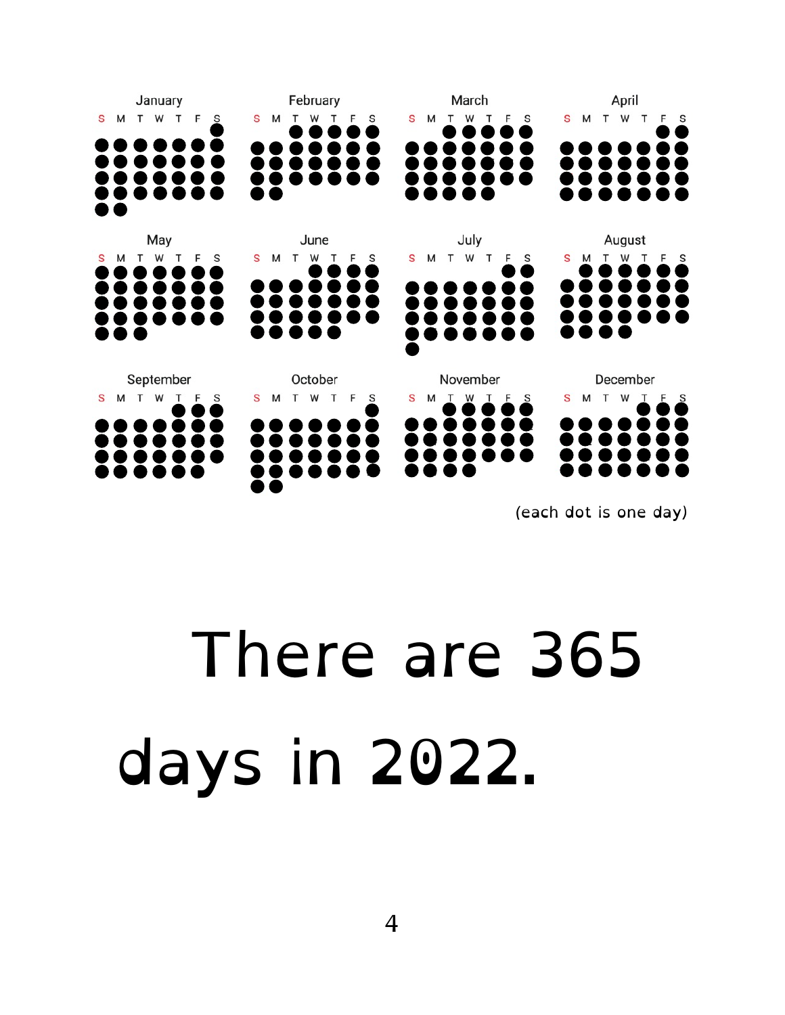

(each dot is one day)

#### There are 365 days in 2022.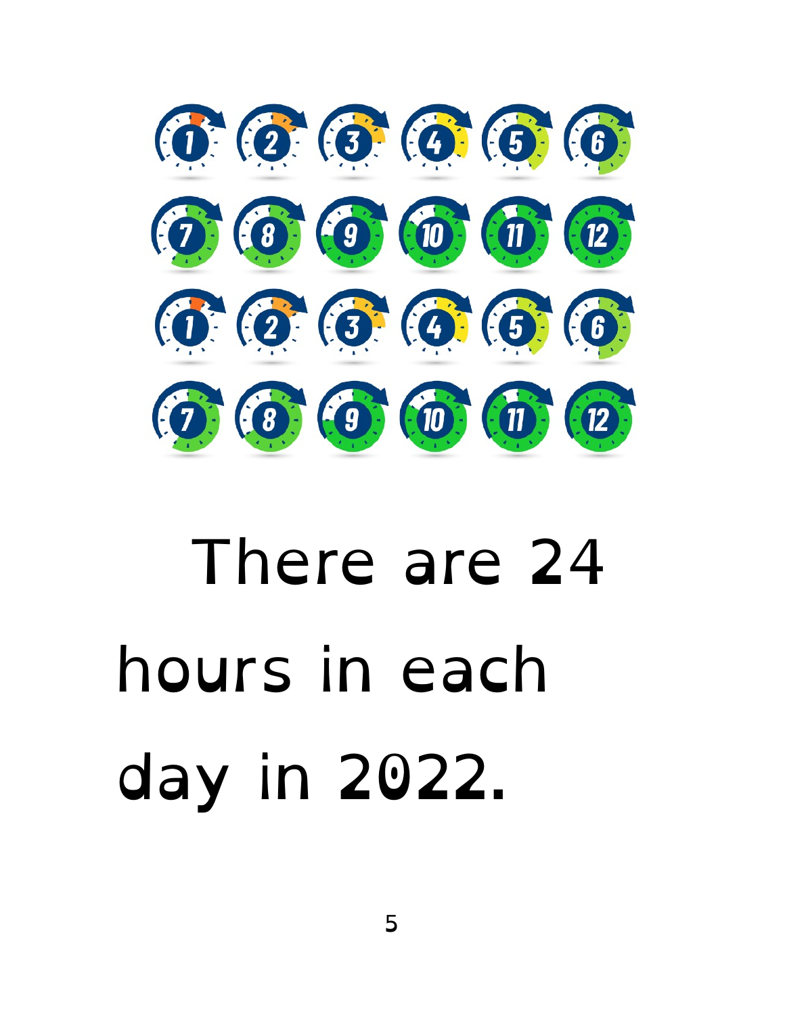

#### There are 24 hours in each day in 2022.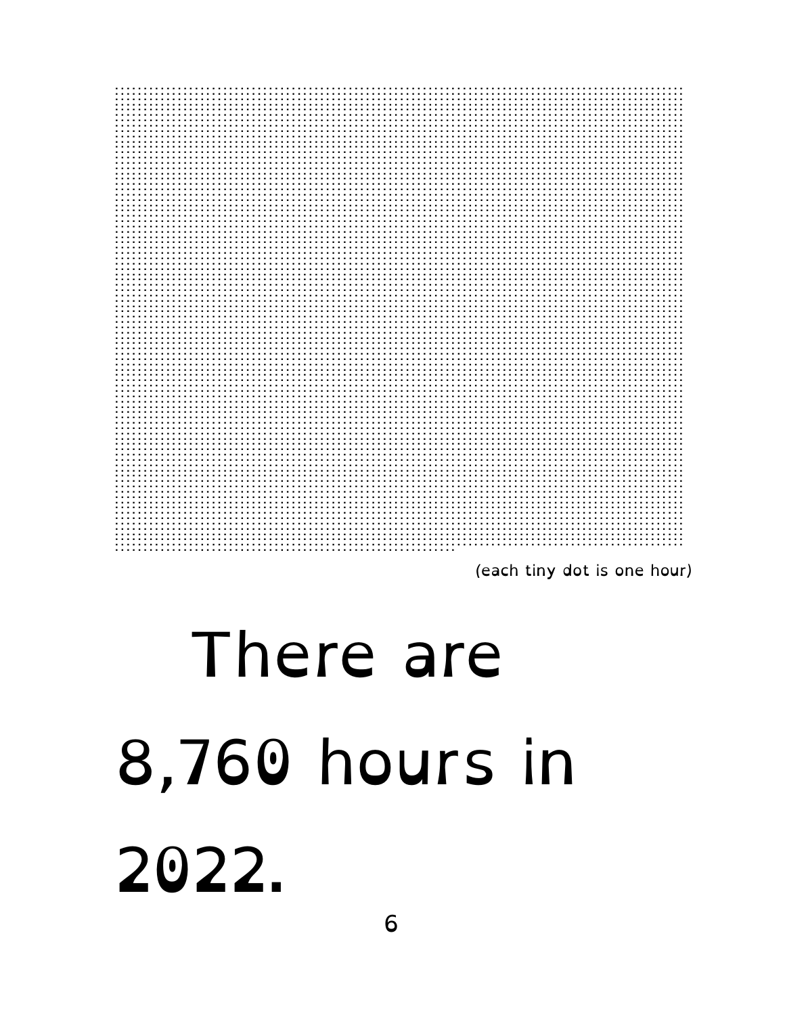

(each tiny dot is one hour)

### There are 8,760 hours in 2022.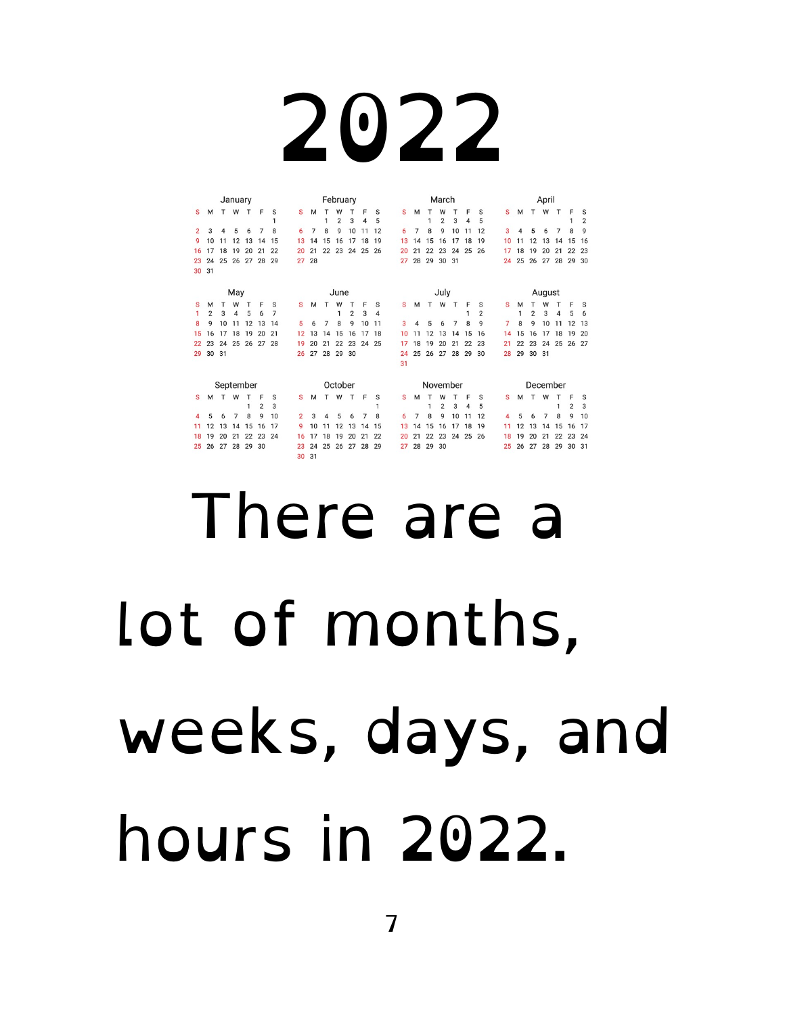|                |                | February  |    |    |                |                |                |    | March |                |    |                |    |    |          | April |                |                |       |                |    |        |          |    |    |                |                |  |
|----------------|----------------|-----------|----|----|----------------|----------------|----------------|----|-------|----------------|----|----------------|----|----|----------|-------|----------------|----------------|-------|----------------|----|--------|----------|----|----|----------------|----------------|--|
| S              | M              | т         | W  | т  | F              | S              | S              | м  | т     | W              |    | F              | S  | S  | M        |       | W              | т              | F     | S              | S  | м      | т        | W  | T  | F              | s              |  |
|                |                |           |    |    |                | 1              |                |    | 1     | $\overline{2}$ | 3  | $\overline{4}$ | 5  |    |          | 1     | 2              | 3              | 4     | 5              |    |        |          |    |    | 1              | $\overline{2}$ |  |
| $\overline{2}$ | 3              |           | 5  |    |                | 8              | 6              | 7  | 8     | 9              | 10 | 11             | 12 | 6  | 7        | 8     | q              | 10             | 11    | 12             | 3  | 4      | 5        |    | 7  | 8              | q              |  |
| 9              | 10             | 11        | 12 | 13 | 14             | 15             | 13             | 14 | 15    | 16             | 17 | 18             | 19 | 13 | 14       | 15    | 16             | 17             | 18    | 19             | 10 | 11     | 12       | 13 | 14 | 15             | 16             |  |
| 16             | 17             | 18        | 19 | 20 | 21             | 22             | 20             | 21 | 22    | 23             | 24 | 25             | 26 | 20 | 21       | 22    | 23             | 24             | 25    | 26             | 17 | 18     | 19       | 20 | 21 | 22             | 23             |  |
| 23             | 24             | 25        | 26 | 27 | 28             | 29             | 27             | 28 |       |                |    |                |    | 27 | 28       | 29    | 30             | 31             |       |                | 24 | 25     | 26       | 27 | 28 | 29 30          |                |  |
| 30             | 31             |           |    |    |                |                |                |    |       |                |    |                |    |    |          |       |                |                |       |                |    |        |          |    |    |                |                |  |
|                |                |           |    |    |                |                |                |    |       |                |    |                |    |    |          |       |                |                |       |                |    |        |          |    |    |                |                |  |
| May            |                |           |    |    |                |                |                |    |       | June           |    |                |    |    |          |       | July           |                |       |                |    | August |          |    |    |                |                |  |
| S              | M              | т         | W  | т  | F              | S              | s              | М  | т     | W              | т  | F              | S  | s  | M        | т     | W              | т              | F     | S              | S  | M      | т        | W  |    | F              | s              |  |
| 1              | $\overline{2}$ | 3         | 4  | 5  | 6              | $\overline{7}$ |                |    |       | 1              | 2  | 3              | 4  |    |          |       |                |                | 1     | $\overline{2}$ |    | 1      | 2        | 3  | 4  | 5              | 6              |  |
| 8              | 9              | 10        | 11 | 12 | 13             | 14             | 5              | 6  |       | 8              | 9  | 10             | 11 | 3  |          | 5     | 6              | $\overline{7}$ | 8     | 9              | 7  | 8      | g        | 10 | 11 | 12             | 13             |  |
| 15             | 16             | 17        | 18 | 19 | 20             | 21             | 12             | 13 | 14    | 15             | 16 | 17             | 18 | 10 | 11       | 12    | 13             | 14             | 15    | 16             | 14 | 15     | 16       | 17 | 18 | 19             | 20             |  |
| 22             | 23             | 24        | 25 | 26 | 27             | 28             | 19             | 20 | 21    | 22             | 23 | 24             | 25 | 17 | 18       | 19    | 20             | 21             | 22    | 23             | 21 | 22     | 23       | 24 | 25 | 26 27          |                |  |
| 29             | 30 31          |           |    |    |                |                | 26             | 27 | 28    | 29             | 30 |                |    | 24 | 25       |       | 26 27          | 28             | 29    | 30             | 28 | 29     | 30 31    |    |    |                |                |  |
|                |                |           |    |    |                |                |                |    |       |                |    |                |    | 31 |          |       |                |                |       |                |    |        |          |    |    |                |                |  |
|                |                |           |    |    |                |                |                |    |       |                |    |                |    |    |          |       |                |                |       |                |    |        |          |    |    |                |                |  |
|                |                | September |    |    |                |                |                |    |       | October        |    |                |    |    | November |       |                |                |       |                |    |        | December |    |    |                |                |  |
| s              | М              | т         | W  | т  | F              | S              | S              | M  |       | W              |    | F              | S  | S  | M        |       | W              |                | F     | S              | s  | м      | т        | W  | т  | F              | s              |  |
|                |                |           |    |    | $\overline{2}$ | 3              |                |    |       |                |    |                | 1  |    |          | 1     | $\overline{2}$ | 3              | 4     | 5              |    |        |          |    | 1  | $\overline{2}$ | 3              |  |
|                | 5              | 6         |    | 8  | 9              | 10             | $\overline{2}$ | 3  |       | 5              | 6  | 7              | 8  | 6  | 7        | 8     | g              | 10             | 11    | 12             | 4  | 5      |          |    | 8  | 9              | 10             |  |
|                | 12             | 13        | 14 | 15 | 16             | 17             | 9              | 10 |       | 12             | 13 | 14             | 15 | 13 | 14       | 15    | 16             | 17             | 18    | 19             | 11 | 12     | 13       | 14 | 15 | 16             | 17             |  |
| 18             | 19             | 20        | 21 | 22 | 23             | 24             | 16             | 17 | 18    | 19             | 20 | 21             | 22 | 20 | 21       | 22    | 23             | 24             | 25 26 |                | 18 | 19     | 20       | 21 | 22 | 23             | 24             |  |
| 25             | 26             | 27        | 28 | 29 | 30             |                | 23             | 24 | 25    | 26             | 27 | 28             | 29 | 27 | 28       | 29    | 30             |                |       |                | 25 | 26     | 27       | 28 | 29 | 30             | 31             |  |
|                |                |           |    |    |                |                |                |    |       |                |    |                |    |    |          |       |                |                |       |                |    |        |          |    |    |                |                |  |
| 31<br>30       |                |           |    |    |                |                |                |    |       |                |    |                |    |    |          |       |                |                |       |                |    |        |          |    |    |                |                |  |

## There are a lot of months, weeks, days, and hours in 2022.